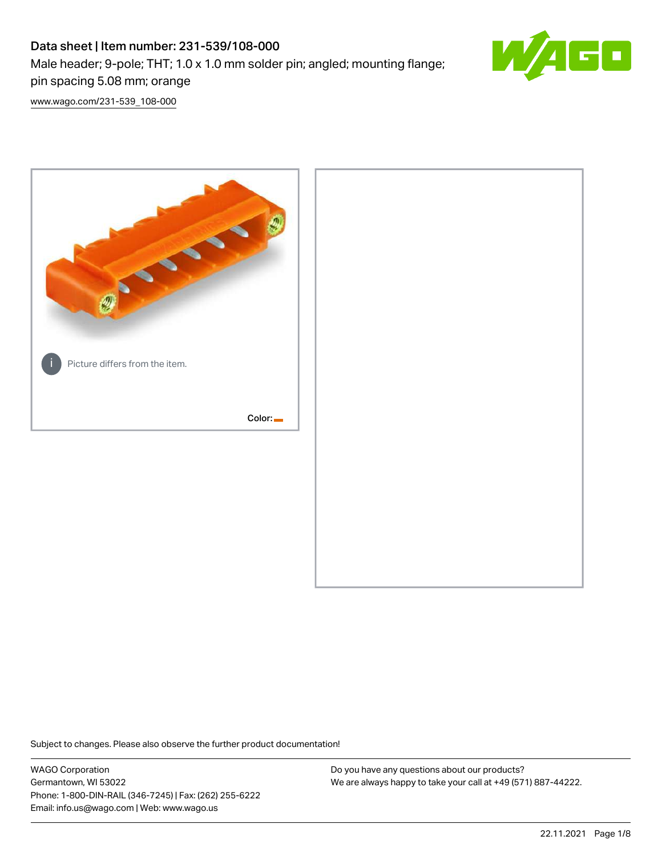# Data sheet | Item number: 231-539/108-000 Male header; 9-pole; THT; 1.0 x 1.0 mm solder pin; angled; mounting flange; pin spacing 5.08 mm; orange



[www.wago.com/231-539\\_108-000](http://www.wago.com/231-539_108-000)



Subject to changes. Please also observe the further product documentation!

WAGO Corporation Germantown, WI 53022 Phone: 1-800-DIN-RAIL (346-7245) | Fax: (262) 255-6222 Email: info.us@wago.com | Web: www.wago.us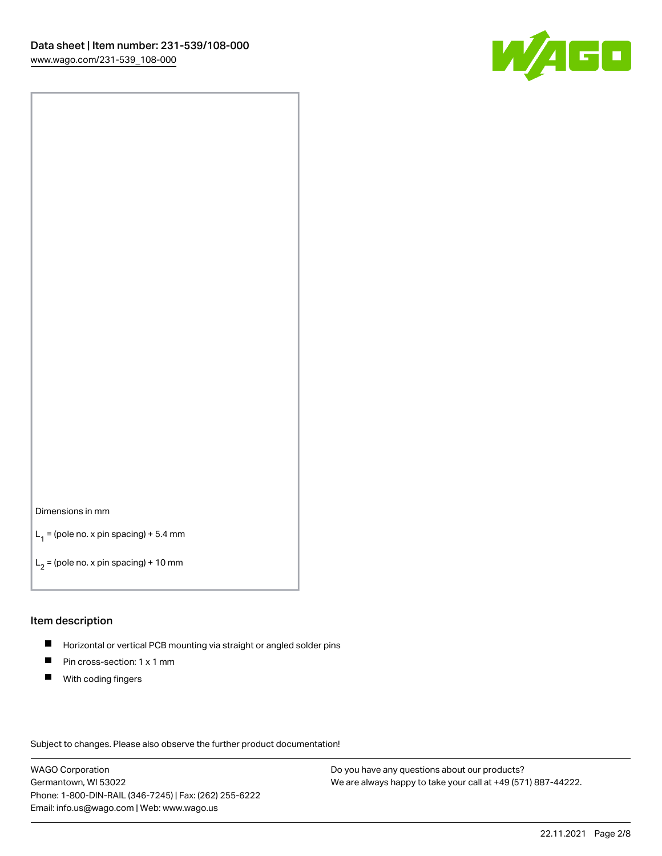

#### Dimensions in mm

 $L_1$  = (pole no. x pin spacing) + 5.4 mm

 $L_2$  = (pole no. x pin spacing) + 10 mm

#### Item description

- $\blacksquare$ Horizontal or vertical PCB mounting via straight or angled solder pins
- $\blacksquare$ Pin cross-section: 1 x 1 mm
- $\blacksquare$ With coding fingers

Subject to changes. Please also observe the further product documentation!

WAGO Corporation Germantown, WI 53022 Phone: 1-800-DIN-RAIL (346-7245) | Fax: (262) 255-6222 Email: info.us@wago.com | Web: www.wago.us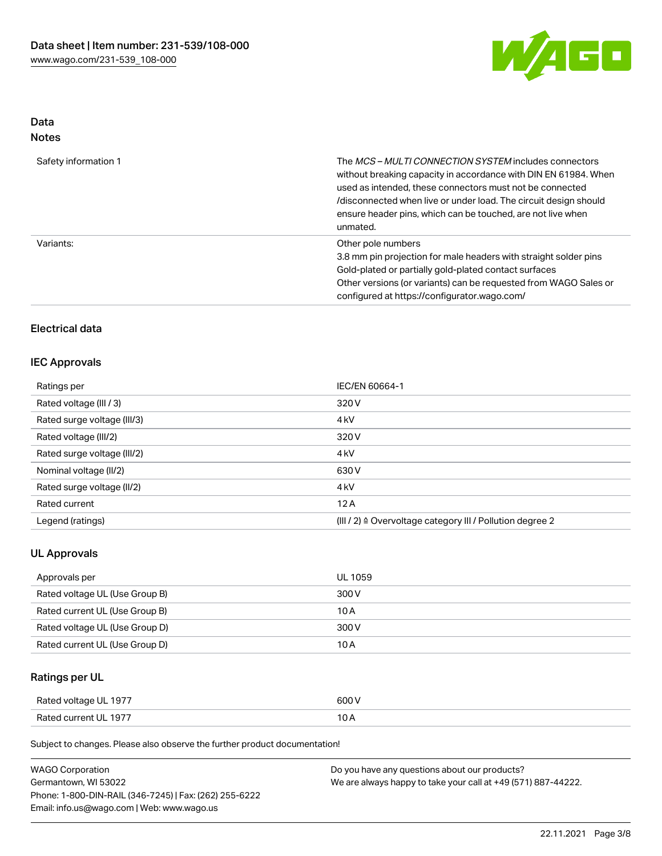

## Data Notes

| Safety information 1 | The MCS-MULTI CONNECTION SYSTEM includes connectors<br>without breaking capacity in accordance with DIN EN 61984. When<br>used as intended, these connectors must not be connected<br>/disconnected when live or under load. The circuit design should<br>ensure header pins, which can be touched, are not live when<br>unmated. |
|----------------------|-----------------------------------------------------------------------------------------------------------------------------------------------------------------------------------------------------------------------------------------------------------------------------------------------------------------------------------|
| Variants:            | Other pole numbers<br>3.8 mm pin projection for male headers with straight solder pins<br>Gold-plated or partially gold-plated contact surfaces<br>Other versions (or variants) can be requested from WAGO Sales or<br>configured at https://configurator.wago.com/                                                               |

## Electrical data

## IEC Approvals

| Ratings per                 | IEC/EN 60664-1                                            |
|-----------------------------|-----------------------------------------------------------|
| Rated voltage (III / 3)     | 320 V                                                     |
| Rated surge voltage (III/3) | 4 <sub>kV</sub>                                           |
| Rated voltage (III/2)       | 320 V                                                     |
| Rated surge voltage (III/2) | 4 <sub>kV</sub>                                           |
| Nominal voltage (II/2)      | 630 V                                                     |
| Rated surge voltage (II/2)  | 4 <sub>k</sub> V                                          |
| Rated current               | 12A                                                       |
| Legend (ratings)            | (III / 2) ≙ Overvoltage category III / Pollution degree 2 |

## UL Approvals

| Approvals per                  | UL 1059 |
|--------------------------------|---------|
| Rated voltage UL (Use Group B) | 300 V   |
| Rated current UL (Use Group B) | 10 A    |
| Rated voltage UL (Use Group D) | 300 V   |
| Rated current UL (Use Group D) | 10 A    |

## Ratings per UL

| Rated voltage UL 1977 | 600 V |
|-----------------------|-------|
| Rated current UL 1977 |       |

Subject to changes. Please also observe the further product documentation!

| <b>WAGO Corporation</b>                                | Do you have any questions about our products?                 |
|--------------------------------------------------------|---------------------------------------------------------------|
| Germantown, WI 53022                                   | We are always happy to take your call at +49 (571) 887-44222. |
| Phone: 1-800-DIN-RAIL (346-7245)   Fax: (262) 255-6222 |                                                               |
| Email: info.us@wago.com   Web: www.wago.us             |                                                               |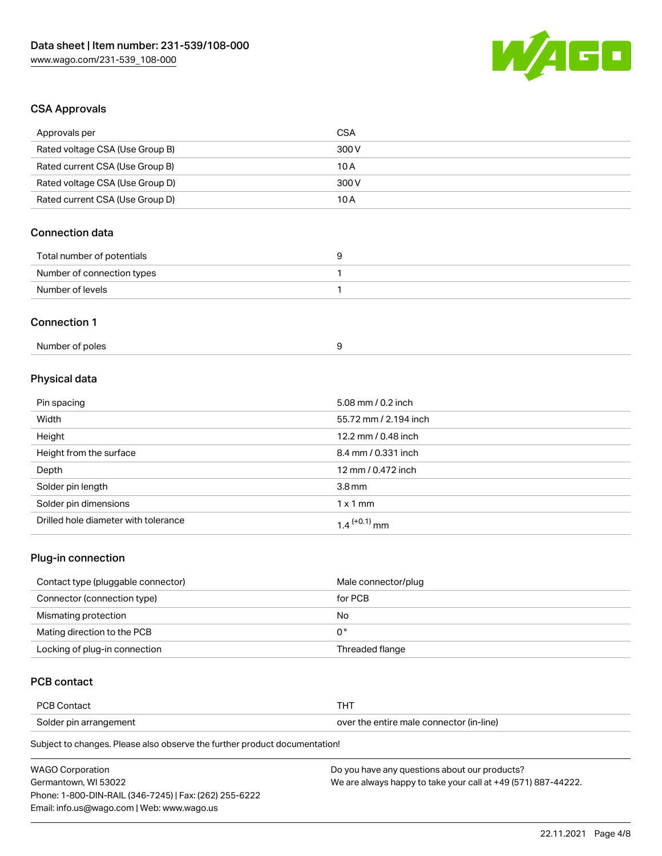

## CSA Approvals

| Approvals per                   | <b>CSA</b>            |
|---------------------------------|-----------------------|
| Rated voltage CSA (Use Group B) | 300 V                 |
| Rated current CSA (Use Group B) | 10A                   |
| Rated voltage CSA (Use Group D) | 300 V                 |
| Rated current CSA (Use Group D) | 10A                   |
| <b>Connection data</b>          |                       |
| Total number of potentials      | 9                     |
| Number of connection types      | $\mathbf{1}$          |
| Number of levels                | 1                     |
| <b>Connection 1</b>             |                       |
| Number of poles                 | 9                     |
| Physical data                   |                       |
| Pin spacing                     | 5.08 mm / 0.2 inch    |
| Width                           | 55.72 mm / 2.194 inch |
| Height                          | 12.2 mm / 0.48 inch   |
| Height from the surface         | 8.4 mm / 0.331 inch   |
| Depth                           | 12 mm / 0.472 inch    |
|                                 |                       |

| Solder pin length                    | 3.8 mm                     |
|--------------------------------------|----------------------------|
| Solder pin dimensions                | 1x1mm                      |
| Drilled hole diameter with tolerance | $1.4$ <sup>(+0.1)</sup> mm |

## Plug-in connection

| Contact type (pluggable connector) | Male connector/plug |
|------------------------------------|---------------------|
| Connector (connection type)        | for PCB             |
| Mismating protection               | No                  |
| Mating direction to the PCB        | 0°                  |
| Locking of plug-in connection      | Threaded flange     |

## PCB contact

| <b>PCB Contact</b>     | 1 O I                                    |
|------------------------|------------------------------------------|
| Solder pin arrangement | over the entire male connector (in-line) |

Subject to changes. Please also observe the further product documentation!

| <b>WAGO Corporation</b>                                | Do you have any questions about our products?                 |
|--------------------------------------------------------|---------------------------------------------------------------|
| Germantown. WI 53022                                   | We are always happy to take your call at +49 (571) 887-44222. |
| Phone: 1-800-DIN-RAIL (346-7245)   Fax: (262) 255-6222 |                                                               |
| Email: info.us@wago.com   Web: www.wago.us             |                                                               |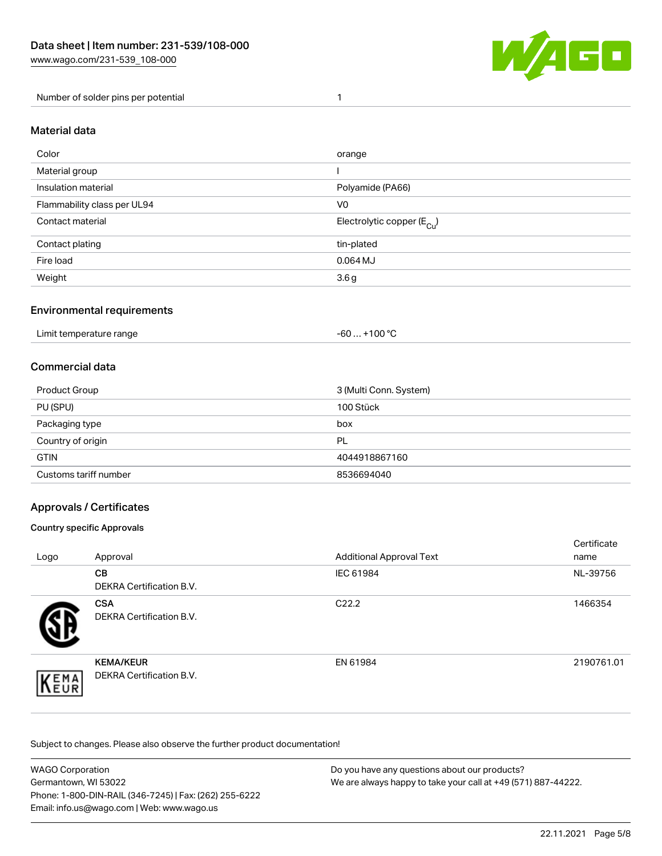

#### Number of solder pins per potential 1

#### Material data

| Color                       | orange                                 |
|-----------------------------|----------------------------------------|
| Material group              |                                        |
| Insulation material         | Polyamide (PA66)                       |
| Flammability class per UL94 | V <sub>0</sub>                         |
| Contact material            | Electrolytic copper (E <sub>Cu</sub> ) |
| Contact plating             | tin-plated                             |
| Fire load                   | $0.064$ MJ                             |
| Weight                      | 3.6 <sub>g</sub>                       |

### Environmental requirements

Limit temperature range  $-60...+100 °C$ 

#### Commercial data

| Product Group         | 3 (Multi Conn. System) |
|-----------------------|------------------------|
| PU (SPU)              | 100 Stück              |
| Packaging type        | box                    |
| Country of origin     | <b>PL</b>              |
| <b>GTIN</b>           | 4044918867160          |
| Customs tariff number | 8536694040             |

### Approvals / Certificates

#### Country specific Approvals

| Logo                | Approval                                            | <b>Additional Approval Text</b> | Certificate<br>name |
|---------------------|-----------------------------------------------------|---------------------------------|---------------------|
|                     | <b>CB</b><br><b>DEKRA Certification B.V.</b>        | IEC 61984                       | NL-39756            |
|                     | <b>CSA</b><br>DEKRA Certification B.V.              | C <sub>22.2</sub>               | 1466354             |
| EMA<br><b>INEUR</b> | <b>KEMA/KEUR</b><br><b>DEKRA Certification B.V.</b> | EN 61984                        | 2190761.01          |

Subject to changes. Please also observe the further product documentation!

| WAGO Corporation                                       | Do you have any questions about our products?                 |
|--------------------------------------------------------|---------------------------------------------------------------|
| Germantown, WI 53022                                   | We are always happy to take your call at +49 (571) 887-44222. |
| Phone: 1-800-DIN-RAIL (346-7245)   Fax: (262) 255-6222 |                                                               |
| Email: info.us@wago.com   Web: www.wago.us             |                                                               |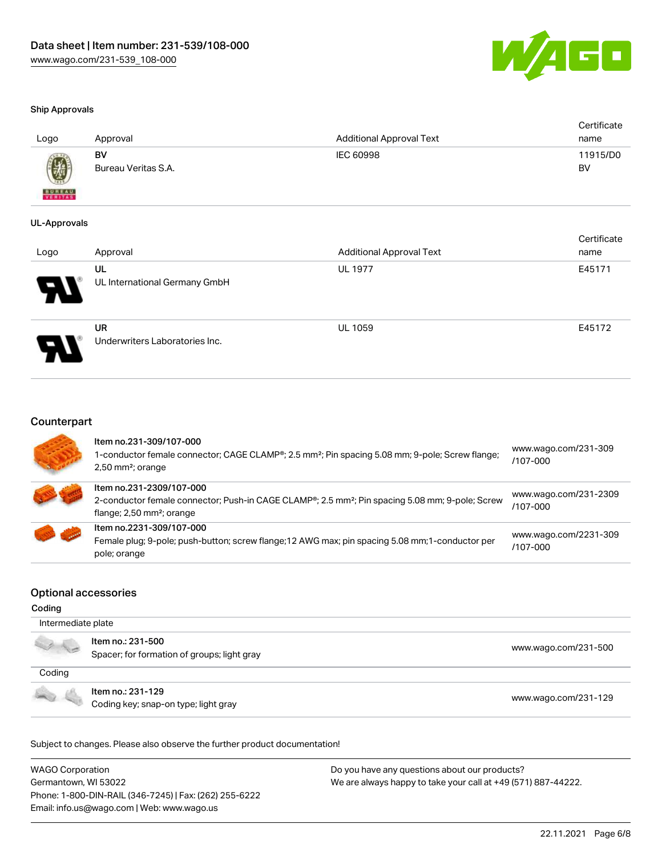

#### Ship Approvals

| Logo             | Approval                  | <b>Additional Approval Text</b> | Certificate<br>name |
|------------------|---------------------------|---------------------------------|---------------------|
| $\bigcircled{0}$ | BV<br>Bureau Veritas S.A. | IEC 60998                       | 11915/D0<br>BV      |
| <b>BUNEAU</b>    |                           |                                 |                     |

#### UL-Approvals

| Logo | Approval                                    | <b>Additional Approval Text</b> | Certificate<br>name |
|------|---------------------------------------------|---------------------------------|---------------------|
| Р.   | UL<br>UL International Germany GmbH         | <b>UL 1977</b>                  | E45171              |
| D    | <b>UR</b><br>Underwriters Laboratories Inc. | <b>UL 1059</b>                  | E45172              |

#### Counterpart

|                         | Item no.231-309/107-000<br>1-conductor female connector; CAGE CLAMP®; 2.5 mm <sup>2</sup> ; Pin spacing 5.08 mm; 9-pole; Screw flange;<br>$2,50$ mm <sup>2</sup> ; orange          | www.wago.com/231-309<br>$/107 - 000$  |
|-------------------------|------------------------------------------------------------------------------------------------------------------------------------------------------------------------------------|---------------------------------------|
|                         | Item no.231-2309/107-000<br>2-conductor female connector; Push-in CAGE CLAMP®; 2.5 mm <sup>2</sup> ; Pin spacing 5.08 mm; 9-pole; Screw<br>flange; $2,50$ mm <sup>2</sup> ; orange | www.wago.com/231-2309<br>$/107 - 000$ |
| <b>STAR CORPORATION</b> | Item no.2231-309/107-000<br>Female plug; 9-pole; push-button; screw flange; 12 AWG max; pin spacing 5.08 mm; 1-conductor per<br>pole; orange                                       | www.wago.com/2231-309<br>/107-000     |

#### Optional accessories

#### Coding

| Intermediate plate |                                                                  |                      |
|--------------------|------------------------------------------------------------------|----------------------|
|                    | Item no.: 231-500<br>Spacer; for formation of groups; light gray | www.wago.com/231-500 |
| Coding             |                                                                  |                      |
|                    | Item no.: 231-129<br>Coding key; snap-on type; light gray        | www.wago.com/231-129 |

Subject to changes. Please also observe the further product documentation!

WAGO Corporation Germantown, WI 53022 Phone: 1-800-DIN-RAIL (346-7245) | Fax: (262) 255-6222 Email: info.us@wago.com | Web: www.wago.us Do you have any questions about our products? We are always happy to take your call at +49 (571) 887-44222.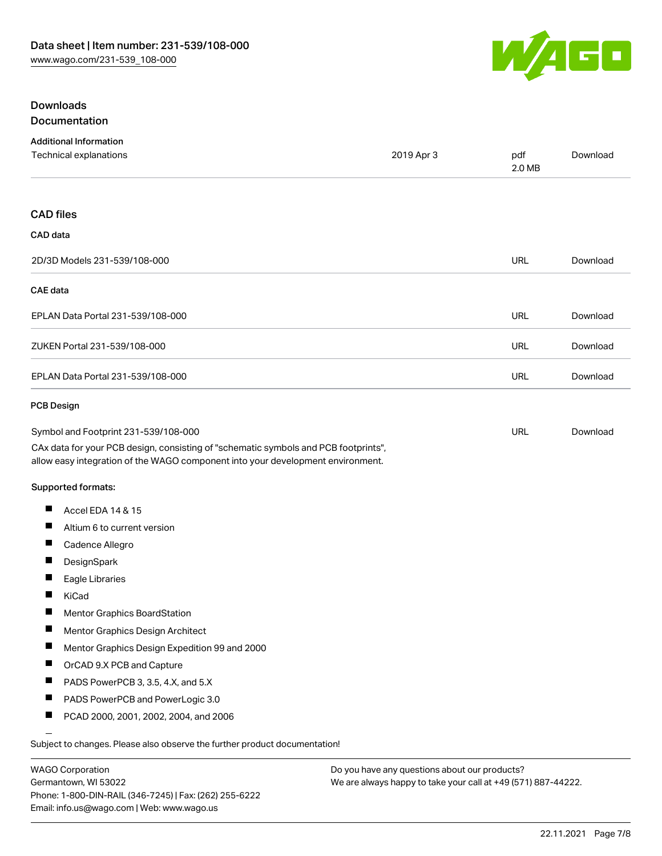

#### Downloads Documentation

|  | Documentation |  |
|--|---------------|--|
|  |               |  |

|                   | <b>Additional Information</b><br>Technical explanations                                                                                                                | 2019 Apr 3 | pdf<br>2.0 MB | Download |
|-------------------|------------------------------------------------------------------------------------------------------------------------------------------------------------------------|------------|---------------|----------|
|                   |                                                                                                                                                                        |            |               |          |
| <b>CAD files</b>  |                                                                                                                                                                        |            |               |          |
| CAD data          |                                                                                                                                                                        |            |               |          |
|                   | 2D/3D Models 231-539/108-000                                                                                                                                           |            | <b>URL</b>    | Download |
| CAE data          |                                                                                                                                                                        |            |               |          |
|                   | EPLAN Data Portal 231-539/108-000                                                                                                                                      |            | <b>URL</b>    | Download |
|                   | ZUKEN Portal 231-539/108-000                                                                                                                                           |            | <b>URL</b>    | Download |
|                   | EPLAN Data Portal 231-539/108-000                                                                                                                                      |            | URL           | Download |
| <b>PCB Design</b> |                                                                                                                                                                        |            |               |          |
|                   | Symbol and Footprint 231-539/108-000                                                                                                                                   |            | URL           | Download |
|                   | CAx data for your PCB design, consisting of "schematic symbols and PCB footprints",<br>allow easy integration of the WAGO component into your development environment. |            |               |          |
|                   | Supported formats:                                                                                                                                                     |            |               |          |
| ш                 | Accel EDA 14 & 15                                                                                                                                                      |            |               |          |
| ш                 | Altium 6 to current version                                                                                                                                            |            |               |          |
|                   | Cadence Allegro                                                                                                                                                        |            |               |          |
| $\blacksquare$    | DesignSpark                                                                                                                                                            |            |               |          |
| $\blacksquare$    | Eagle Libraries                                                                                                                                                        |            |               |          |
|                   | KiCad                                                                                                                                                                  |            |               |          |
| H                 | Mentor Graphics BoardStation                                                                                                                                           |            |               |          |
| ш                 | Mentor Graphics Design Architect                                                                                                                                       |            |               |          |
|                   | Mentor Graphics Design Expedition 99 and 2000                                                                                                                          |            |               |          |
| Ш                 | OrCAD 9.X PCB and Capture                                                                                                                                              |            |               |          |
|                   | PADS PowerPCB 3, 3.5, 4.X, and 5.X                                                                                                                                     |            |               |          |
| ш                 | PADS PowerPCB and PowerLogic 3.0                                                                                                                                       |            |               |          |
| ш                 | PCAD 2000, 2001, 2002, 2004, and 2006                                                                                                                                  |            |               |          |
|                   | Subject to changes. Please also observe the further product documentation!                                                                                             |            |               |          |